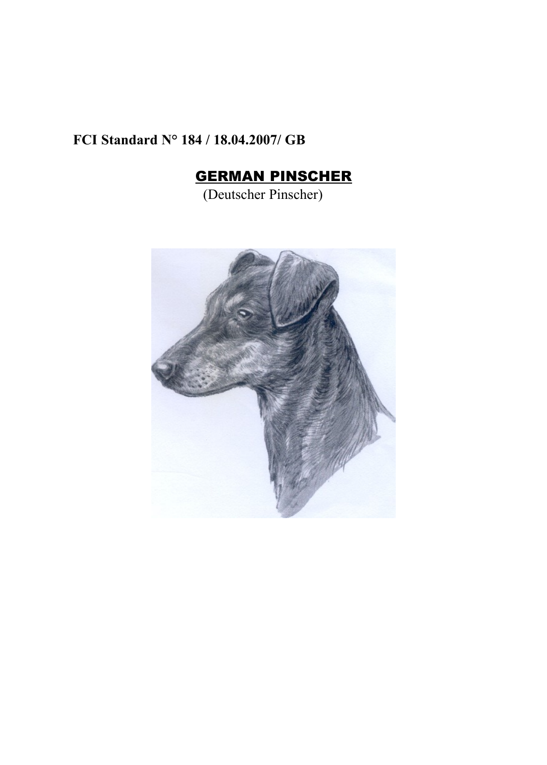## **FCI Standard N° 184 / 18.04.2007/ GB**

# GERMAN PINSCHER

(Deutscher Pinscher)

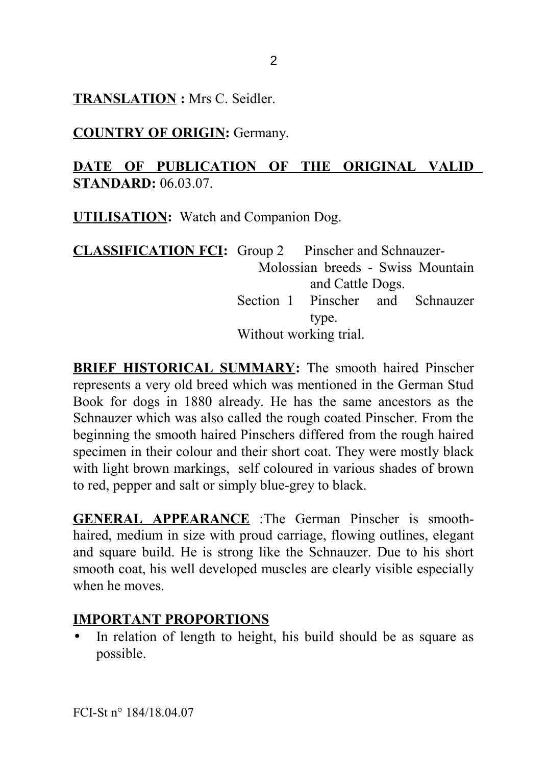**TRANSLATION :** Mrs C. Seidler.

**COUNTRY OF ORIGIN:** Germany.

#### **DATE OF PUBLICATION OF THE ORIGINAL VALID STANDARD:** 06.03.07.

**UTILISATION:** Watch and Companion Dog.

**CLASSIFICATION FCI:** Group 2 Pinscher and Schnauzer-Molossian breeds - Swiss Mountain and Cattle Dogs. Section 1 Pinscher and Schnauzer type. Without working trial.

**BRIEF HISTORICAL SUMMARY:** The smooth haired Pinscher represents a very old breed which was mentioned in the German Stud Book for dogs in 1880 already. He has the same ancestors as the Schnauzer which was also called the rough coated Pinscher. From the beginning the smooth haired Pinschers differed from the rough haired specimen in their colour and their short coat. They were mostly black with light brown markings, self coloured in various shades of brown to red, pepper and salt or simply blue-grey to black.

**GENERAL APPEARANCE** :The German Pinscher is smoothhaired, medium in size with proud carriage, flowing outlines, elegant and square build. He is strong like the Schnauzer. Due to his short smooth coat, his well developed muscles are clearly visible especially when he moves.

#### **IMPORTANT PROPORTIONS**

• In relation of length to height, his build should be as square as possible.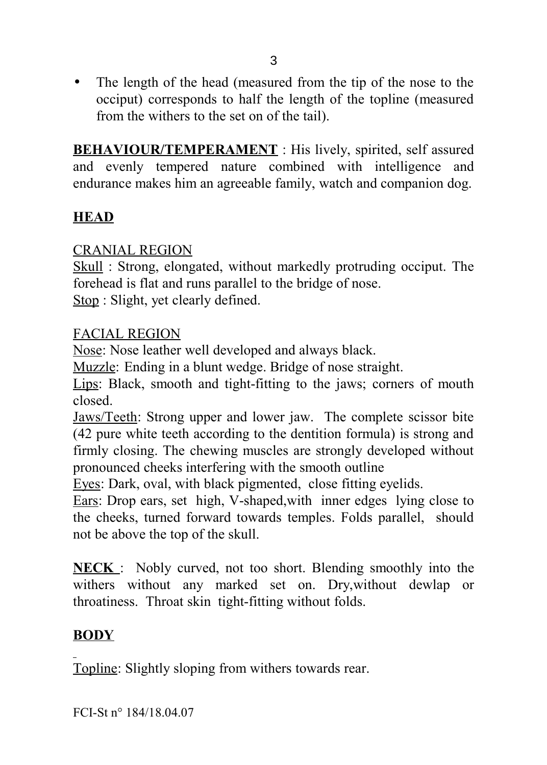• The length of the head (measured from the tip of the nose to the occiput) corresponds to half the length of the topline (measured from the withers to the set on of the tail).

**BEHAVIOUR/TEMPERAMENT** : His lively, spirited, self assured and evenly tempered nature combined with intelligence and endurance makes him an agreeable family, watch and companion dog.

## **HEAD**

#### CRANIAL REGION

Skull : Strong, elongated, without markedly protruding occiput. The forehead is flat and runs parallel to the bridge of nose. Stop : Slight, yet clearly defined.

#### FACIAL REGION

Nose: Nose leather well developed and always black.

Muzzle: Ending in a blunt wedge. Bridge of nose straight.

Lips: Black, smooth and tight-fitting to the jaws; corners of mouth closed.

Jaws/Teeth: Strong upper and lower jaw. The complete scissor bite (42 pure white teeth according to the dentition formula) is strong and firmly closing. The chewing muscles are strongly developed without pronounced cheeks interfering with the smooth outline

Eyes: Dark, oval, with black pigmented, close fitting eyelids.

Ears: Drop ears, set high, V-shaped,with inner edges lying close to the cheeks, turned forward towards temples. Folds parallel, should not be above the top of the skull.

**NECK** : Nobly curved, not too short. Blending smoothly into the withers without any marked set on. Dry,without dewlap or throatiness. Throat skin tight-fitting without folds.

## **BODY**

Topline: Slightly sloping from withers towards rear.

FCI-St n° 184/18.04.07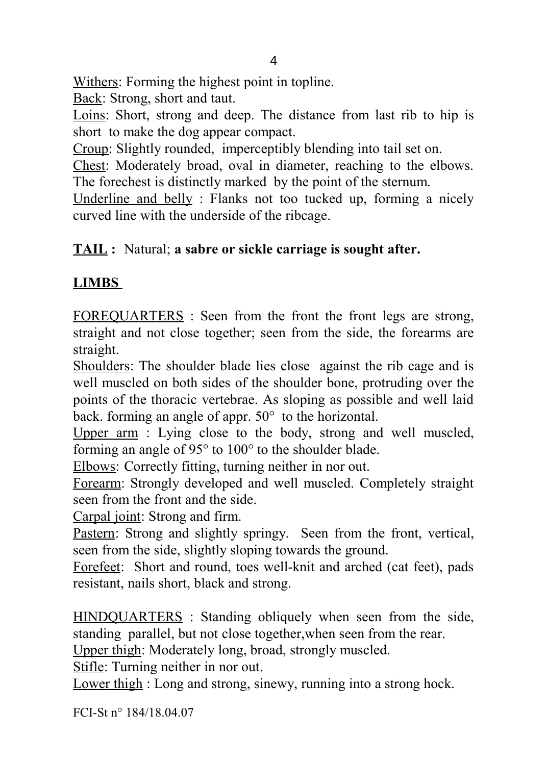Withers: Forming the highest point in topline.

Back: Strong, short and taut.

Loins: Short, strong and deep. The distance from last rib to hip is short to make the dog appear compact.

Croup: Slightly rounded, imperceptibly blending into tail set on.

Chest: Moderately broad, oval in diameter, reaching to the elbows. The forechest is distinctly marked by the point of the sternum.

Underline and belly : Flanks not too tucked up, forming a nicely curved line with the underside of the ribcage.

## **TAIL :** Natural; **a sabre or sickle carriage is sought after.**

## **LIMBS**

FOREQUARTERS : Seen from the front the front legs are strong, straight and not close together; seen from the side, the forearms are straight.

Shoulders: The shoulder blade lies close against the rib cage and is well muscled on both sides of the shoulder bone, protruding over the points of the thoracic vertebrae. As sloping as possible and well laid back. forming an angle of appr. 50° to the horizontal.

Upper arm : Lying close to the body, strong and well muscled, forming an angle of 95° to 100° to the shoulder blade.

Elbows: Correctly fitting, turning neither in nor out.

Forearm: Strongly developed and well muscled. Completely straight seen from the front and the side.

Carpal joint: Strong and firm.

Pastern: Strong and slightly springy. Seen from the front, vertical, seen from the side, slightly sloping towards the ground.

Forefeet: Short and round, toes well-knit and arched (cat feet), pads resistant, nails short, black and strong.

HINDQUARTERS : Standing obliquely when seen from the side, standing parallel, but not close together,when seen from the rear.

Upper thigh: Moderately long, broad, strongly muscled.

Stifle: Turning neither in nor out.

Lower thigh : Long and strong, sinewy, running into a strong hock.

FCI-St n° 184/18.04.07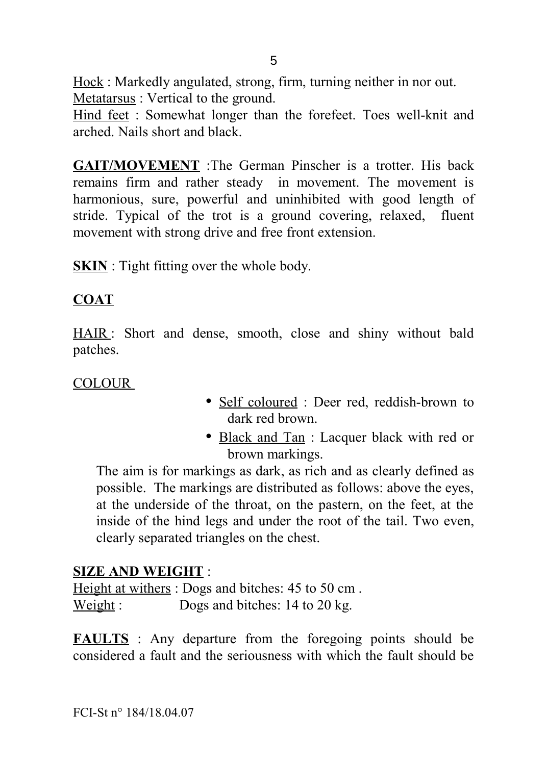Hock : Markedly angulated, strong, firm, turning neither in nor out. Metatarsus : Vertical to the ground.

Hind feet : Somewhat longer than the forefeet. Toes well-knit and arched. Nails short and black.

**GAIT/MOVEMENT** :The German Pinscher is a trotter. His back remains firm and rather steady in movement. The movement is harmonious, sure, powerful and uninhibited with good length of stride. Typical of the trot is a ground covering, relaxed, fluent movement with strong drive and free front extension.

**SKIN** : Tight fitting over the whole body.

#### **COAT**

HAIR : Short and dense, smooth, close and shiny without bald patches.

#### COLOUR

- Self coloured : Deer red, reddish-brown to dark red brown.
- Black and Tan : Lacquer black with red or brown markings.

The aim is for markings as dark, as rich and as clearly defined as possible. The markings are distributed as follows: above the eyes, at the underside of the throat, on the pastern, on the feet, at the inside of the hind legs and under the root of the tail. Two even, clearly separated triangles on the chest.

#### **SIZE AND WEIGHT** :

Height at withers : Dogs and bitches: 45 to 50 cm . Weight : Dogs and bitches: 14 to 20 kg.

**FAULTS** : Any departure from the foregoing points should be considered a fault and the seriousness with which the fault should be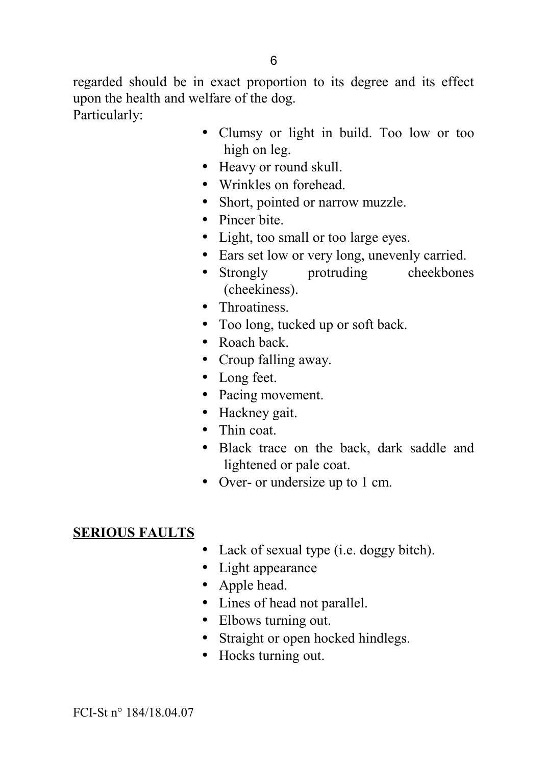regarded should be in exact proportion to its degree and its effect upon the health and welfare of the dog. Particularly:

- Clumsy or light in build. Too low or too high on leg.
- Heavy or round skull.
- Wrinkles on forehead.
- Short, pointed or narrow muzzle.
- Pincer bite
- Light, too small or too large eyes.
- Ears set low or very long, unevenly carried.
- Strongly protruding cheekbones (cheekiness).
- Throatiness.
- Too long, tucked up or soft back.
- Roach back
- Croup falling away.
- Long feet.
- Pacing movement.
- Hackney gait.
- Thin coat.
- Black trace on the back, dark saddle and lightened or pale coat.
- Over- or undersize up to 1 cm.

## **SERIOUS FAULTS**

- Lack of sexual type (i.e. doggy bitch).
- Light appearance
- Apple head.
- Lines of head not parallel.
- Elbows turning out.
- Straight or open hocked hindlegs.
- Hocks turning out.

FCI-St n° 184/18.04.07